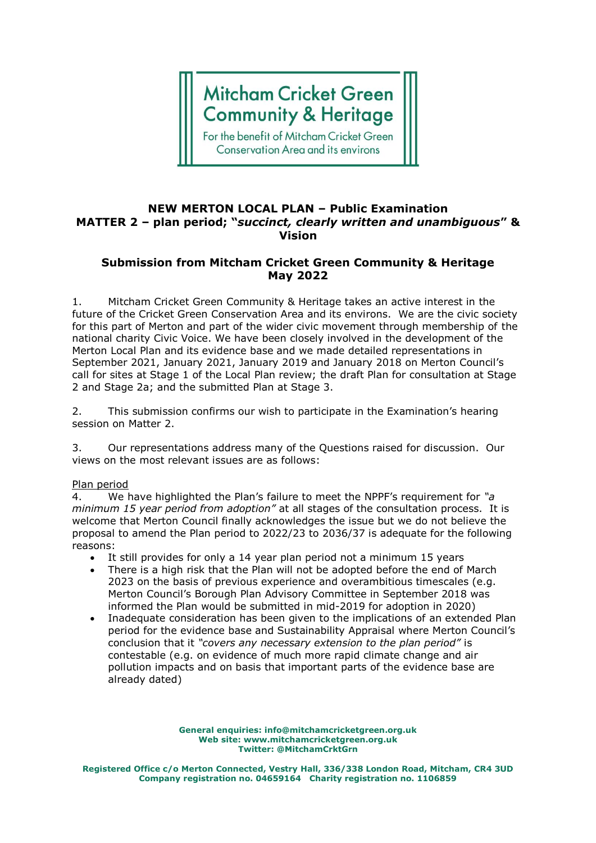# **Mitcham Cricket Green Community & Heritage**

For the benefit of Mitcham Cricket Green **Conservation Area and its environs** 

### **NEW MERTON LOCAL PLAN – Public Examination MATTER 2 – plan period; "***succinct, clearly written and unambiguous***" & Vision**

## **Submission from Mitcham Cricket Green Community & Heritage May 2022**

1. Mitcham Cricket Green Community & Heritage takes an active interest in the future of the Cricket Green Conservation Area and its environs. We are the civic society for this part of Merton and part of the wider civic movement through membership of the national charity Civic Voice. We have been closely involved in the development of the Merton Local Plan and its evidence base and we made detailed representations in September 2021, January 2021, January 2019 and January 2018 on Merton Council's call for sites at Stage 1 of the Local Plan review; the draft Plan for consultation at Stage 2 and Stage 2a; and the submitted Plan at Stage 3.

2. This submission confirms our wish to participate in the Examination's hearing session on Matter 2.

3. Our representations address many of the Questions raised for discussion. Our views on the most relevant issues are as follows:

#### Plan period

4. We have highlighted the Plan's failure to meet the NPPF's requirement for *"a minimum 15 year period from adoption"* at all stages of the consultation process. It is welcome that Merton Council finally acknowledges the issue but we do not believe the proposal to amend the Plan period to 2022/23 to 2036/37 is adequate for the following reasons:

- It still provides for only a 14 year plan period not a minimum 15 years
- There is a high risk that the Plan will not be adopted before the end of March 2023 on the basis of previous experience and overambitious timescales (e.g. Merton Council's Borough Plan Advisory Committee in September 2018 was informed the Plan would be submitted in mid-2019 for adoption in 2020)
- Inadequate consideration has been given to the implications of an extended Plan period for the evidence base and Sustainability Appraisal where Merton Council's conclusion that it *"covers any necessary extension to the plan period"* is contestable (e.g. on evidence of much more rapid climate change and air pollution impacts and on basis that important parts of the evidence base are already dated)

**General enquiries: info@mitchamcricketgreen.org.uk Web site: www.mitchamcricketgreen.org.uk Twitter: @MitchamCrktGrn**

**Registered Office c/o Merton Connected, Vestry Hall, 336/338 London Road, Mitcham, CR4 3UD Company registration no. 04659164 Charity registration no. 1106859**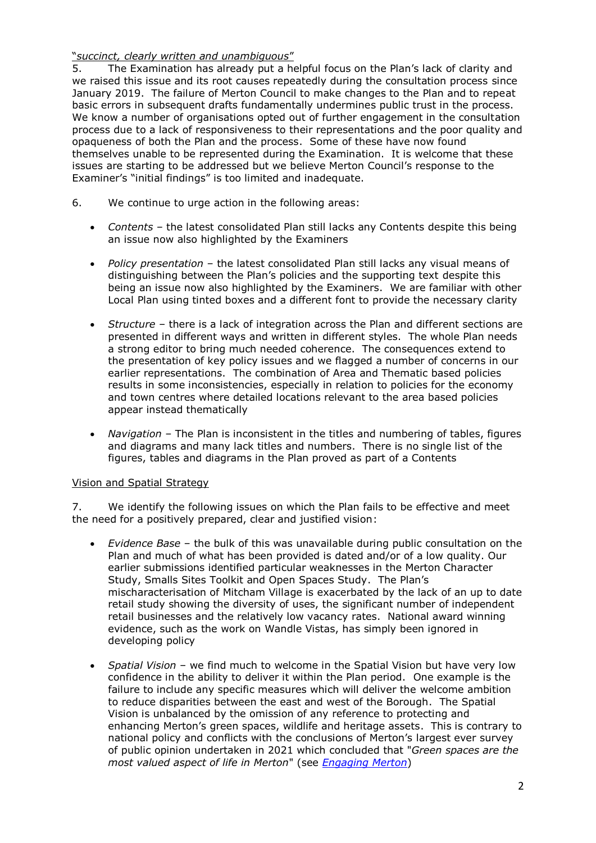### "*succinct, clearly written and unambiguous*"

5. The Examination has already put a helpful focus on the Plan's lack of clarity and we raised this issue and its root causes repeatedly during the consultation process since January 2019. The failure of Merton Council to make changes to the Plan and to repeat basic errors in subsequent drafts fundamentally undermines public trust in the process. We know a number of organisations opted out of further engagement in the consultation process due to a lack of responsiveness to their representations and the poor quality and opaqueness of both the Plan and the process. Some of these have now found themselves unable to be represented during the Examination. It is welcome that these issues are starting to be addressed but we believe Merton Council's response to the Examiner's "initial findings" is too limited and inadequate.

- 6. We continue to urge action in the following areas:
	- *Contents* the latest consolidated Plan still lacks any Contents despite this being an issue now also highlighted by the Examiners
	- *Policy presentation* the latest consolidated Plan still lacks any visual means of distinguishing between the Plan's policies and the supporting text despite this being an issue now also highlighted by the Examiners. We are familiar with other Local Plan using tinted boxes and a different font to provide the necessary clarity
	- *Structure* there is a lack of integration across the Plan and different sections are presented in different ways and written in different styles. The whole Plan needs a strong editor to bring much needed coherence. The consequences extend to the presentation of key policy issues and we flagged a number of concerns in our earlier representations. The combination of Area and Thematic based policies results in some inconsistencies, especially in relation to policies for the economy and town centres where detailed locations relevant to the area based policies appear instead thematically
	- *Navigation* The Plan is inconsistent in the titles and numbering of tables, figures and diagrams and many lack titles and numbers. There is no single list of the figures, tables and diagrams in the Plan proved as part of a Contents

#### Vision and Spatial Strategy

7. We identify the following issues on which the Plan fails to be effective and meet the need for a positively prepared, clear and justified vision:

- *Evidence Base* the bulk of this was unavailable during public consultation on the Plan and much of what has been provided is dated and/or of a low quality. Our earlier submissions identified particular weaknesses in the Merton Character Study, Smalls Sites Toolkit and Open Spaces Study. The Plan's mischaracterisation of Mitcham Village is exacerbated by the lack of an up to date retail study showing the diversity of uses, the significant number of independent retail businesses and the relatively low vacancy rates. National award winning evidence, such as the work on Wandle Vistas, has simply been ignored in developing policy
- *Spatial Vision* we find much to welcome in the Spatial Vision but have very low confidence in the ability to deliver it within the Plan period. One example is the failure to include any specific measures which will deliver the welcome ambition to reduce disparities between the east and west of the Borough. The Spatial Vision is unbalanced by the omission of any reference to protecting and enhancing Merton's green spaces, wildlife and heritage assets. This is contrary to national policy and conflicts with the conclusions of Merton's largest ever survey of public opinion undertaken in 2021 which concluded that "*Green spaces are the most valued aspect of life in Merton*" (see *[Engaging Merton](https://www.merton.gov.uk/council-and-local-democracy/get-involved/yourmerton)*)